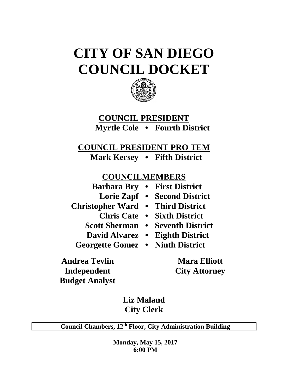# **CITY OF SAN DIEGO COUNCIL DOCKET**



# **COUNCIL PRESIDENT Myrtle Cole • Fourth District**

**COUNCIL PRESIDENT PRO TEM**

**Mark Kersey • Fifth District**

# **COUNCILMEMBERS**

|                                   | <b>Barbara Bry • First District</b>     |
|-----------------------------------|-----------------------------------------|
|                                   | Lorie Zapf • Second District            |
| Christopher Ward • Third District |                                         |
|                                   | <b>Chris Cate • Sixth District</b>      |
|                                   | <b>Scott Sherman • Seventh District</b> |
|                                   | David Alvarez • Eighth District         |

**Georgette Gomez • Ninth District**

**Andrea Tevlin Mara Elliott Independent City Attorney Budget Analyst**

**Liz Maland City Clerk**

**Council Chambers, 12th Floor, City Administration Building**

**Monday, May 15, 2017 6:00 PM**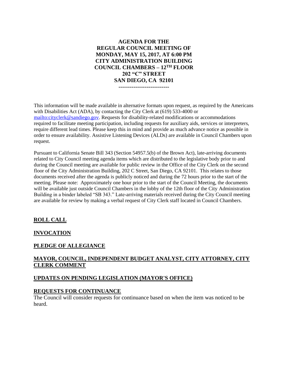#### **AGENDA FOR THE REGULAR COUNCIL MEETING OF MONDAY, MAY 15, 2017, AT 6:00 PM CITY ADMINISTRATION BUILDING COUNCIL CHAMBERS – 12TH FLOOR 202 "C" STREET SAN DIEGO, CA 92101 ---------------------------**

This information will be made available in alternative formats upon request, as required by the Americans with Disabilities Act (ADA), by contacting the City Clerk at (619) 533-4000 or [mailto:cityclerk@sandiego.gov.](mailto:cityclerk@sandiego.gov) Requests for disability-related modifications or accommodations required to facilitate meeting participation, including requests for auxiliary aids, services or interpreters, require different lead times. Please keep this in mind and provide as much advance notice as possible in order to ensure availability. Assistive Listening Devices (ALDs) are available in Council Chambers upon request.

Pursuant to California Senate Bill 343 (Section 54957.5(b) of the Brown Act), late-arriving documents related to City Council meeting agenda items which are distributed to the legislative body prior to and during the Council meeting are available for public review in the Office of the City Clerk on the second floor of the City Administration Building, 202 C Street, San Diego, CA 92101. This relates to those documents received after the agenda is publicly noticed and during the 72 hours prior to the start of the meeting. Please note: Approximately one hour prior to the start of the Council Meeting, the documents will be available just outside Council Chambers in the lobby of the 12th floor of the City Administration Building in a binder labeled "SB 343." Late-arriving materials received during the City Council meeting are available for review by making a verbal request of City Clerk staff located in Council Chambers.

## **ROLL CALL**

#### **INVOCATION**

#### **PLEDGE OF ALLEGIANCE**

#### **MAYOR, COUNCIL, INDEPENDENT BUDGET ANALYST, CITY ATTORNEY, CITY CLERK COMMENT**

#### **UPDATES ON PENDING LEGISLATION (MAYOR'S OFFICE)**

#### **REQUESTS FOR CONTINUANCE**

The Council will consider requests for continuance based on when the item was noticed to be heard.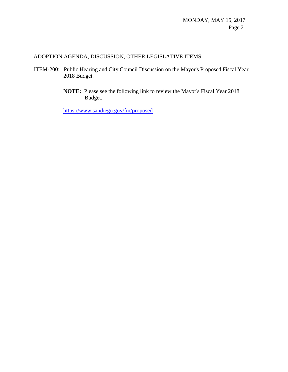## ADOPTION AGENDA, DISCUSSION, OTHER LEGISLATIVE ITEMS

- ITEM-200: Public Hearing and City Council Discussion on the Mayor's Proposed Fiscal Year 2018 Budget.
	- **NOTE:** Please see the following link to review the Mayor's Fiscal Year 2018 Budget.

<https://www.sandiego.gov/fm/proposed>